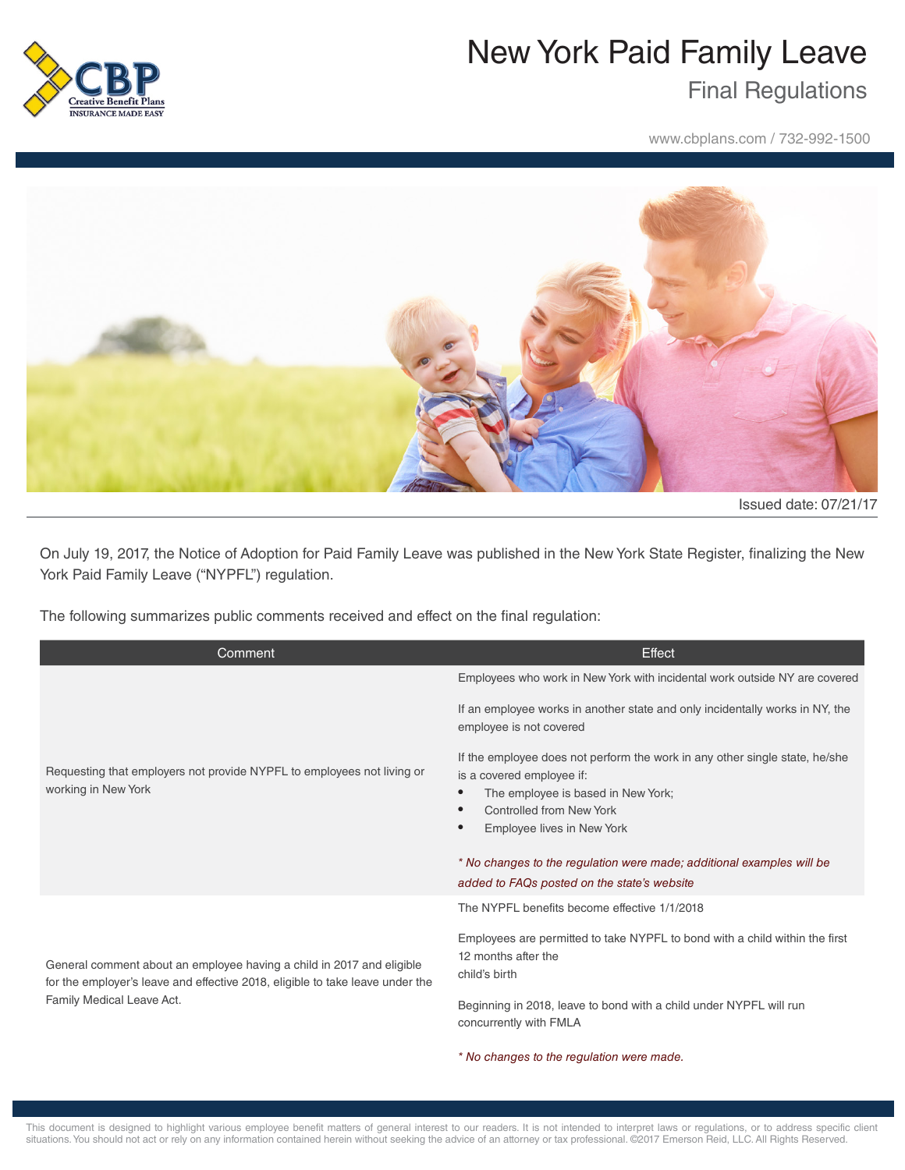

## New York Paid Family Leave

## Final Regulations

www.cbplans.com / 732-992-1500



Issued date: 07/21/17

On July 19, 2017, the Notice of Adoption for Paid Family Leave was published in the New York State Register, finalizing the New York Paid Family Leave ("NYPFL") regulation.

The following summarizes public comments received and effect on the final regulation:

| Comment                                                                                                                                                                             | Effect                                                                                                                                                                                                                                                                                                                                               |
|-------------------------------------------------------------------------------------------------------------------------------------------------------------------------------------|------------------------------------------------------------------------------------------------------------------------------------------------------------------------------------------------------------------------------------------------------------------------------------------------------------------------------------------------------|
| Requesting that employers not provide NYPFL to employees not living or<br>working in New York                                                                                       | Employees who work in New York with incidental work outside NY are covered                                                                                                                                                                                                                                                                           |
|                                                                                                                                                                                     | If an employee works in another state and only incidentally works in NY, the<br>employee is not covered                                                                                                                                                                                                                                              |
|                                                                                                                                                                                     | If the employee does not perform the work in any other single state, he/she<br>is a covered employee if:<br>The employee is based in New York;<br><b>Controlled from New York</b><br>Employee lives in New York<br>$\bullet$<br>* No changes to the regulation were made; additional examples will be<br>added to FAQs posted on the state's website |
| General comment about an employee having a child in 2017 and eligible<br>for the employer's leave and effective 2018, eligible to take leave under the<br>Family Medical Leave Act. | The NYPFL benefits become effective 1/1/2018                                                                                                                                                                                                                                                                                                         |
|                                                                                                                                                                                     | Employees are permitted to take NYPFL to bond with a child within the first<br>12 months after the<br>child's birth                                                                                                                                                                                                                                  |
|                                                                                                                                                                                     | Beginning in 2018, leave to bond with a child under NYPFL will run<br>concurrently with FMLA                                                                                                                                                                                                                                                         |
|                                                                                                                                                                                     | * No changes to the regulation were made.                                                                                                                                                                                                                                                                                                            |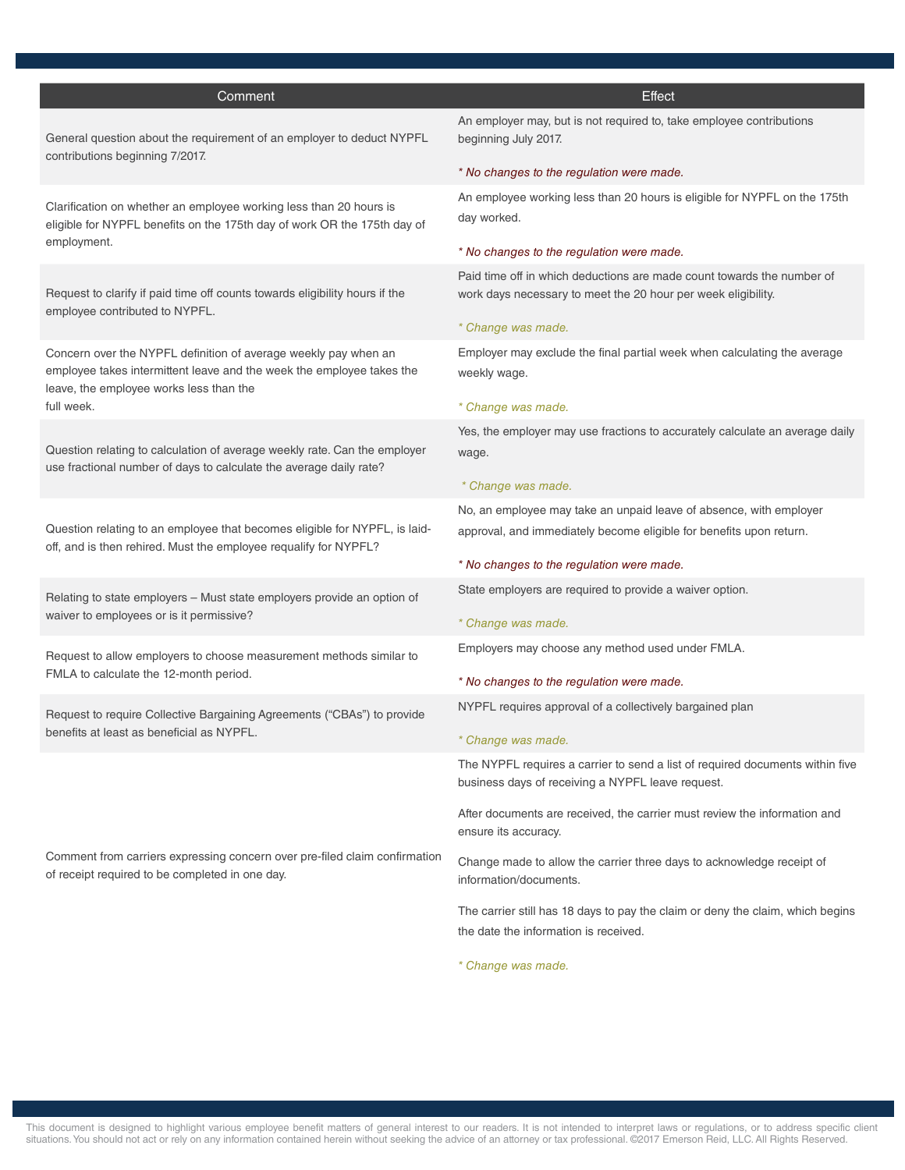| Comment                                                                                                                                                                             | Effect                                                                                                                                                        |
|-------------------------------------------------------------------------------------------------------------------------------------------------------------------------------------|---------------------------------------------------------------------------------------------------------------------------------------------------------------|
| General question about the requirement of an employer to deduct NYPFL<br>contributions beginning 7/2017.                                                                            | An employer may, but is not required to, take employee contributions<br>beginning July 2017.                                                                  |
|                                                                                                                                                                                     | * No changes to the regulation were made.                                                                                                                     |
| Clarification on whether an employee working less than 20 hours is<br>eligible for NYPFL benefits on the 175th day of work OR the 175th day of<br>employment.                       | An employee working less than 20 hours is eligible for NYPFL on the 175th<br>day worked.                                                                      |
|                                                                                                                                                                                     | * No changes to the regulation were made.                                                                                                                     |
| Request to clarify if paid time off counts towards eligibility hours if the<br>employee contributed to NYPFL.                                                                       | Paid time off in which deductions are made count towards the number of<br>work days necessary to meet the 20 hour per week eligibility.<br>* Change was made. |
| Concern over the NYPFL definition of average weekly pay when an<br>employee takes intermittent leave and the week the employee takes the<br>leave, the employee works less than the | Employer may exclude the final partial week when calculating the average<br>weekly wage.                                                                      |
| full week.                                                                                                                                                                          | * Change was made.                                                                                                                                            |
|                                                                                                                                                                                     | Yes, the employer may use fractions to accurately calculate an average daily                                                                                  |
| Question relating to calculation of average weekly rate. Can the employer<br>use fractional number of days to calculate the average daily rate?                                     | wage.                                                                                                                                                         |
|                                                                                                                                                                                     | * Change was made.                                                                                                                                            |
| Question relating to an employee that becomes eligible for NYPFL, is laid-<br>off, and is then rehired. Must the employee requalify for NYPFL?                                      | No, an employee may take an unpaid leave of absence, with employer<br>approval, and immediately become eligible for benefits upon return.                     |
|                                                                                                                                                                                     | * No changes to the regulation were made.                                                                                                                     |
| Relating to state employers - Must state employers provide an option of<br>waiver to employees or is it permissive?                                                                 | State employers are required to provide a waiver option.                                                                                                      |
|                                                                                                                                                                                     | * Change was made.                                                                                                                                            |
| Request to allow employers to choose measurement methods similar to                                                                                                                 | Employers may choose any method used under FMLA.                                                                                                              |
| FMLA to calculate the 12-month period.                                                                                                                                              | * No changes to the regulation were made.                                                                                                                     |
| Request to require Collective Bargaining Agreements ("CBAs") to provide<br>benefits at least as beneficial as NYPFL.                                                                | NYPFL requires approval of a collectively bargained plan                                                                                                      |
|                                                                                                                                                                                     | * Change was made.                                                                                                                                            |
| Comment from carriers expressing concern over pre-filed claim confirmation<br>of receipt required to be completed in one day.                                                       | The NYPFL requires a carrier to send a list of required documents within five<br>business days of receiving a NYPFL leave request.                            |
|                                                                                                                                                                                     | After documents are received, the carrier must review the information and<br>ensure its accuracy.                                                             |
|                                                                                                                                                                                     | Change made to allow the carrier three days to acknowledge receipt of<br>information/documents.                                                               |
|                                                                                                                                                                                     | The carrier still has 18 days to pay the claim or deny the claim, which begins<br>the date the information is received.                                       |
|                                                                                                                                                                                     | * Change was made.                                                                                                                                            |

This document is designed to highlight various employee benefit matters of general interest to our readers. It is not intended to interpret laws or regulations, or to address specific client situations. You should not act or rely on any information contained herein without seeking the advice of an attorney or tax professional. ©2017 Emerson Reid, LLC. All Rights Reserved.